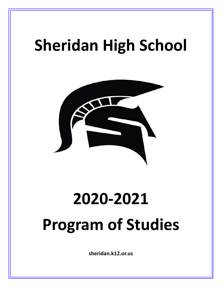# **Sheridan High School**



# **2020-2021 Program of Studies**

**sheridan.k12.or.us**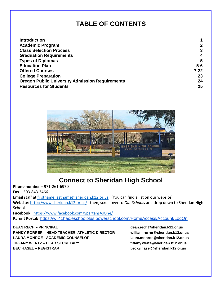# **TABLE OF CONTENTS**

| <b>Introduction</b>                                    |              |
|--------------------------------------------------------|--------------|
| <b>Academic Program</b>                                | $\mathbf{2}$ |
| <b>Class Selection Process</b>                         | 3            |
| <b>Graduation Requirements</b>                         | 4            |
| <b>Types of Diplomas</b>                               | 5            |
| <b>Education Plan</b>                                  | $5-6$        |
| <b>Offered Courses</b>                                 | $7 - 22$     |
| <b>College Preparation</b>                             | 23           |
| <b>Oregon Public University Admission Requirements</b> | 24           |
| <b>Resources for Students</b>                          | 25           |



# **Connect to Sheridan High School**

**Phone number** – 971-261-6970

**Fax** – 503-843-3466

Email staff at [firstname.lastname@sheridan.k12.or.us](mailto:firstname.lastname@sheridan.k12.or.us) (You can find a list on our website) **Website**:<http://www.sheridan.k12.or.us/>then, scroll over to *Our Schools* and drop down to Sheridan High **School** 

**Facebook:** <https://www.facebook.com/SpartansAsOne/> **Parent Portal:** [https://wil41hac.eschoolplus.powerschool.com/HomeAccess/Account/LogOn](https://wil41hac.eschoolplus.powerschool.com/HomeAccess/Account/LogOn?ReturnUrl=%2fHomeAccess%3fSiteCode%3dshrlive&SiteCode=shrlive)

**DEAN RECH – PRINCIPAL dean.rech@sheridan.k12.or.us RANDY RORRER – HEAD TEACHER, ATHLETIC DIRECTOR william.rorrer@sheridan.k12.or.us LAURA MONROE - ACADEMIC COUNSELOR laura.monroe@sheridan.k12.or.us TIFFANY WERTZ – HEAD SECRETARY tiffany.wertz@sheridan.k12.or.us BEC HASEL – REGISTRAR becky.hasel@sheridan.k12.or.us**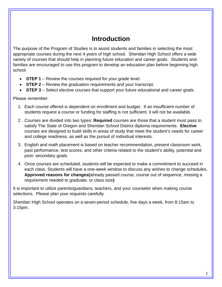# **Introduction**

The purpose of the Program of Studies is to assist students and families in selecting the most appropriate courses during the next 4 years of high school. Sheridan High School offers a wide variety of courses that should help in planning future education and career goals. Students and families are encouraged to use this program to develop an education plan before beginning high school.

- **STEP 1** Review the courses required for your grade level.
- **STEP 2** Review the graduation requirements and your transcript.
- **STEP 3** Select elective courses that support your future educational and career goals.

Please remember:

- 1. Each course offered is dependent on enrollment and budget. If an insufficient number of students request a course or funding for staffing is not sufficient, it will not be available.
- 2. Courses are divided into two types: **Required** courses are those that a student must pass to satisfy The State of Oregon and Sheridan School District diploma requirements. **Elective** courses are designed to build skills in areas of study that meet the student's needs for career and college readiness, as well as the pursuit of individual interests.
- 3. English and math placement is based on teacher recommendation, present classroom work, past performance, test scores, and other criteria related to the student's ability, potential and post- secondary goals.
- 4. Once courses are scheduled, students will be expected to make a commitment to succeed in each class. Students will have a one-week window to discuss any wishes to change schedules. **Approved reasons for changes(**already passed course, course out of sequence, missing a requirement needed to graduate, or class size**)**

It is important to utilize parents/guardians, teachers, and your counselor when making course selections. Please plan your requests carefully.

Sheridan High School operates on a seven-period schedule, five days a week, from 8:15am to 3:15pm.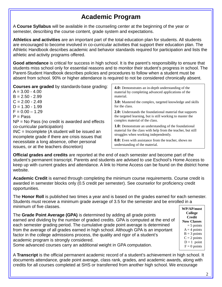# **Academic Program**

A **Course Syllabus** will be available in the counseling center at the beginning of the year or semester, describing the course content, grade system and expectations.

**Athletics and activities** are an important part of the total education plan for students. All students are encouraged to become involved in co-curricular activities that support their education plan. The Athletic Handbook describes academic and behavior standards required for participation and lists the athletic and activity programs offered.

**Good attendance** is critical for success in high school. It is the parent's responsibility to ensure that students miss school only for essential reasons and to monitor their student's progress in school. The Parent-Student Handbook describes policies and procedures to follow when a student must be absent from school. 90% or higher attendance is required to not be considered chronically absent.

| <b>4.0:</b> Demonstrates an in-depth understanding of the                                                                                                                                                                                                              |
|------------------------------------------------------------------------------------------------------------------------------------------------------------------------------------------------------------------------------------------------------------------------|
| material by completing advanced applications of the                                                                                                                                                                                                                    |
| <b>3.0:</b> Mastered the complex, targeted knowledge and skills                                                                                                                                                                                                        |
| <b>2.0:</b> Understands the foundational material that supports<br>the targeted learning, but is still working to master the<br>complex material of the class.                                                                                                         |
| <b>1.0:</b> Demonstrate an understanding of the foundational<br>material for the class with help from the teacher, but still<br>struggles when working independently.<br><b>0.0:</b> Even with assistance from the teacher, shows no<br>understanding of the material. |
|                                                                                                                                                                                                                                                                        |

**Official grades and credits** are reported at the end of each semester and become part of the student's permanent transcript. Parents and students are advised to use Eschool's Home Access to keep up with current grades and attendance. A link to Home Access can be found on the district home website.

**Academic Credit** is earned through completing the minimum course requirements. Course credit is awarded in semester blocks only (0.5 credit per semester). See counselor for proficiency credit opportunities.

The **Honor Roll** is published two times a year and is based on the grades earned for each semester. Students must receive a minimum grade average of 3.5 for the semester and be enrolled in a minimum of five classes. **WP/AP/most**

The **Grade Point Average (GPA)** is determined by adding all grade points earned and dividing by the number of graded credits. GPA is computed at the end of each semester grading period. The cumulative grade point average is determined from the average of all grades earned in high school. Although GPA is an important factor in the college admissions process, the quality and rigor of a student's academic program is strongly considered.

Some advanced courses carry an additional weight in GPA computation.

A **Transcript** is the official permanent academic record of a student's achievement in high school. It documents attendance, grade point average, class rank, grades, and academic awards, along with credits for all courses completed at SHS or transferred from another high school. We encourage

 $\mathfrak{D}$ 

 $D = 1$  point  $F = 0$  points

**College Credit Now Classes**  $= 5$  points  $A = 4$  points  $B = 3$  points  $C = 2$  points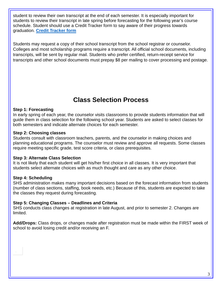student to review their own transcript at the end of each semester. It is especially important for students to review their transcript in late spring before forecasting for the following year's course schedule. Student should use a Credit Tracker form to say aware of their progress towards graduation. **[Credit Tracker form](https://drive.google.com/file/d/1EvA0Nzx69TxQP-3zqRlyAOE-gjKmQbH_/view?usp=sharing)**

Students may request a copy of their school transcript from the school registrar or counselor. Colleges and most scholarship programs require a transcript. All official school documents, including transcripts, will be sent by regular mail. Students who prefer certified, return-receipt service for transcripts and other school documents must prepay \$8 per mailing to cover processing and postage.

# **Class Selection Process**

#### **Step 1: Forecasting**

In early spring of each year, the counselor visits classrooms to provide students information that will guide them in class selection for the following school year. Students are asked to select classes for both semesters and indicate alternate choices for each semester.

#### **Step 2: Choosing classes**

Students consult with classroom teachers, parents, and the counselor in making choices and planning educational programs. The counselor must review and approve all requests. Some classes require meeting specific grade, test score criteria, or class prerequisites.

#### **Step 3: Alternate Class Selection**

It is not likely that each student will get his/her first choice in all classes. It is very important that students select alternate choices with as much thought and care as any other choice.

#### **Step 4: Scheduling**

SHS administration makes many important decisions based on the forecast information from students (number of class sections, staffing, book needs, etc.) Because of this, students are expected to take the classes they request during forecasting.

#### **Step 5: Changing Classes – Deadlines and Criteria**

SHS conducts class changes at registration in late August, and prior to semester 2. Changes are limited.

**Add/Drops:** Class drops, or changes made after registration must be made within the FIRST week of school to avoid losing credit and/or receiving an F.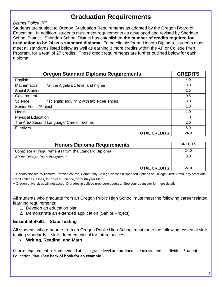## **Graduation Requirements**

#### *District Policy IKF*

Students are subject to Oregon Graduation Requirements as adopted by the Oregon Board of Education. In addition, students must meet requirements as developed and revised by Sheridan School District. Sheridan School District has established **the number of credits required for graduation to be 24 as a standard diploma.** To be eligible for an Honors Diploma, students must meet all standards listed below as well as earning 3 more credits within the AP or College Prep Program, for a total of 27 credits. These credit requirements are further outlined below for each diploma:

| <b>Oregon Standard Diploma Requirements</b>              | <b>CREDITS</b> |
|----------------------------------------------------------|----------------|
| English                                                  | 4.0            |
| <b>Mathematics</b><br>*at the Algebra 1 level and higher | 3.0            |
| <b>Social Studies</b>                                    | 2.5            |
| Government                                               | 0.5            |
| Science<br>*scientific inquiry, 2 with lab experiences   | 3.0            |
| Senior Focus/Project                                     | 1.0            |
| Health                                                   | 1.0            |
| <b>Physical Education</b>                                | 1.0            |
| The Arts/ Second Language/ Career Tech Ed.               | 2.0            |
| Electives                                                | 6.0            |
| <b>TOTAL CREDITS</b>                                     | 24.0           |

| <b>Honors Diploma Requirements</b>                  | <b>CREDITS</b> |
|-----------------------------------------------------|----------------|
| Complete all requirements from the Standard Diploma | 24.0           |
| AP or College Prep Program ~+                       | 3.0            |
|                                                     |                |
| <b>TOTAL CREDITS</b>                                | 27.0           |

~ Honors classes, Willamette Promise course, Community College classes (Expanded Options or College Credit Now), any other dual

credit college classes, fourth year Science, or fourth year Math.

+ Oregon universities will not accept D grades in college prep core courses. See your counselor for more details.

All students who graduate from an Oregon Public High School must meet the following career related learning requirements:

- 1. Develop an education plan
- 2. Demonstrate an extended application (Senior Project)

#### **Essential Skills = State Testing**

All students who graduate from an Oregon Public High School must meet the following essential skills testing standards – skills deemed critical for future success:

• **Writing, Reading, and Math**

Course requirements recommended at each grade level are outlined in each student's individual Student Education Plan. **(See back of book for an example.)**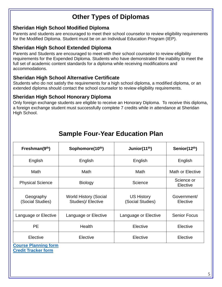# **Other Types of Diplomas**

#### **Sheridan High School Modified Diploma**

Parents and students are encouraged to meet their school counselor to review eligibility requirements for the Modified Diploma. Student must be on an Individual Education Program (IEP).

#### **Sheridan High School Extended Diploma**

Parents and Students are encouraged to meet with their school counselor to review eligibility requirements for the Expended Diploma. Students who have demonstrated the inability to meet the full set of academic content standards for a diploma while receiving modifications and accommodations.

#### **Sheridan High School Alternative Certificate**

Students who do not satisfy the requirements for a high school diploma, a modified diploma, or an extended diploma should contact the school counselor to review eligibility requirements.

#### **Sheridan High School Honorary Diploma**

Only foreign exchange students are eligible to receive an Honorary Diploma. To receive this diploma, a foreign exchange student must successfully complete 7 credits while in attendance at Sheridan High School.

| Freshman(9th)                 | Sophomore(10th)                                    | Junior(11 <sup>th</sup> )             | Senior(12th)            |
|-------------------------------|----------------------------------------------------|---------------------------------------|-------------------------|
| English                       | English                                            | English                               | English                 |
| Math                          | Math                                               | Math                                  | Math or Elective        |
| <b>Physical Science</b>       | <b>Biology</b>                                     | Science                               | Science or<br>Elective  |
| Geography<br>(Social Studies) | <b>World History (Social</b><br>Studies)/ Elective | <b>US History</b><br>(Social Studies) | Government/<br>Elective |
| Language or Elective          | Language or Elective                               | Language or Elective                  | <b>Senior Focus</b>     |
| <b>PE</b>                     | Health                                             | Elective                              | Elective                |
| Elective                      | Elective                                           | Elective                              | Elective                |

# **Sample Four-Year Education Plan**

**[Course Planning form](https://docs.google.com/document/d/1w0uVFVlsRAPiPsDmMqlCBZ_5i3NJ1hutMnbP8DMw8mo/edit?usp=sharing) [Credit Tracker form](https://drive.google.com/file/d/1EvA0Nzx69TxQP-3zqRlyAOE-gjKmQbH_/view?usp=sharing)**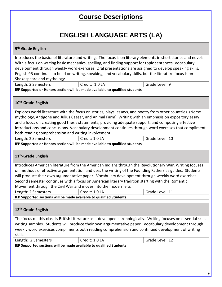# **Course Descriptions**

# **ENGLISH LANGUAGE ARTS (LA)**

#### **9th-Grade English**

Introduces the basics of literature and writing. The focus is on literary elements in short stories and novels. With a focus on writing basic mechanics, spelling, and finding support for topic sentences. Vocabulary development through weekly word exercises. Oral presentations are assigned to develop speaking skills. English 9B continues to build on writing, speaking, and vocabulary skills, but the literature focus is on Shakespeare and mythology.

| Length: 2 Semesters | Credit: 1.0 LA                                                               | Grade Level: 9 |
|---------------------|------------------------------------------------------------------------------|----------------|
|                     | IEP Supported or Honors section will be made available to qualified students |                |

#### **10th-Grade English**

Explores world literature with the focus on stories, plays, essays, and poetry from other countries. (Norse mythology, Antigone and Julius Caesar, and Animal Farm) Writing with an emphasis on expository essay and a focus on creating good thesis statements, providing adequate support, and composing effective introductions and conclusions. Vocabulary development continues through word exercises that compliment both reading comprehension and writing involvement.

| Length: 2 Semesters                                                          | Credit: 1.0 LA | <sup>I</sup> Grade Level: 10 |
|------------------------------------------------------------------------------|----------------|------------------------------|
| IEP Supported or Honors section will be made available to qualified students |                |                              |

#### **11th-Grade English**

Introduces American literature from the American Indians through the Revolutionary War. Writing focuses on methods of effective argumentation and uses the writing of the Founding Fathers as guides. Students will produce their own argumentative paper. Vocabulary development through weekly word exercises. Second semester continues with a focus on American literary tradition starting with the Romantic Movement through the Civil War and moves into the modern era.

| Length: 2 Semesters                                                 | Credit: 1.0 LA | Grade Level: 11 |
|---------------------------------------------------------------------|----------------|-----------------|
| IEP Supported sections will be made available to qualified Students |                |                 |

#### **12th-Grade English**

The focus on this class is British Literature as it developed chronologically. Writing focuses on essential skills writing samples. Students will produce their own argumentative paper. Vocabulary development through weekly word exercises compliments both reading comprehension and continued development of writing skills.

| Length: 2 Semesters                                                         | Credit: 1.0 LA | Grade Level: 12 |  |
|-----------------------------------------------------------------------------|----------------|-----------------|--|
| $\mid$ IFP Supported sections will be made available to qualified Students. |                |                 |  |

**IEP Supported sections will be made available to qualified Students**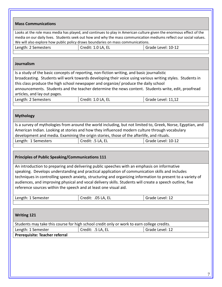Looks at the role mass media has played, and continues to play in American culture given the enormous effect of the media on our daily lives. Students seek out how and why the mass communication mediums reflect our social values. We will also explore how public policy draws boundaries on mass communications.

| Length: 2 Semesters | Credit: 1.0 LA, EL | Grade Level: 10-12 |
|---------------------|--------------------|--------------------|
|                     |                    |                    |

#### **Journalism**

Is a study of the basic concepts of reporting, non-fiction writing, and basic journalistic broadcasting. Students will work towards developing their voice using various writing styles. Students in this class produce the high school newspaper and organize/ produce the daily school announcements. Students and the teacher determine the news content. Students write, edit, proofread articles, and lay out pages.

| Length: 2 Semesters | Credit: 1.0 LA, EL | Grade Level: 11,12 |
|---------------------|--------------------|--------------------|
|                     |                    |                    |

#### **Mythology**

| Is a survey of mythologies from around the world including, but not limited to, Greek, Norse, Egyptian, and |                   |                    |
|-------------------------------------------------------------------------------------------------------------|-------------------|--------------------|
| American Indian. Looking at stories and how they influenced modern culture through vocabulary               |                   |                    |
| development and media. Examining the origin stories, those of the afterlife, and rituals.                   |                   |                    |
| Length: 1 Semesters                                                                                         | Credit: .5 LA, EL | Grade Level: 10-12 |

#### **Principles of Public Speaking/Communications 111**

An introduction to preparing and delivering public speeches with an emphasis on informative speaking. Develops understanding and practical application of communication skills and includes techniques in controlling speech anxiety, structuring and organizing information to present to a variety of audiences, and improving physical and vocal delivery skills. Students will create a speech outline, five reference sources within the speech and at least one visual aid.

| Length: 1 Semester | .05 LA, EL<br>Credit: | Grade Level: 12 |
|--------------------|-----------------------|-----------------|
|                    |                       |                 |

| <b>Writing 121</b>                                                                         |                   |                 |  |
|--------------------------------------------------------------------------------------------|-------------------|-----------------|--|
| Students may take this course for high school credit only or work to earn college credits. |                   |                 |  |
| Length: 1 Semester                                                                         | Credit: .5 LA, EL | Grade Level: 12 |  |
| Prerequisite: Teacher referral                                                             |                   |                 |  |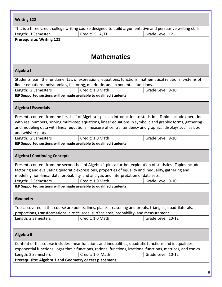| <b>Writing 122</b>                                                                                     |                    |                                                                                                                                                                                                                                                                                                                                          |
|--------------------------------------------------------------------------------------------------------|--------------------|------------------------------------------------------------------------------------------------------------------------------------------------------------------------------------------------------------------------------------------------------------------------------------------------------------------------------------------|
|                                                                                                        |                    | This is a three-credit college writing course designed to build argumentative and persuasive writing skills.                                                                                                                                                                                                                             |
| Length: 1 Semester                                                                                     | Credit: .5 LA, EL  | Grade Level: 12                                                                                                                                                                                                                                                                                                                          |
| <b>Prerequisite: Writing 121</b>                                                                       |                    |                                                                                                                                                                                                                                                                                                                                          |
|                                                                                                        |                    |                                                                                                                                                                                                                                                                                                                                          |
|                                                                                                        |                    |                                                                                                                                                                                                                                                                                                                                          |
|                                                                                                        | <b>Mathematics</b> |                                                                                                                                                                                                                                                                                                                                          |
| Algebra I                                                                                              |                    |                                                                                                                                                                                                                                                                                                                                          |
|                                                                                                        |                    | Students learn the fundamentals of expressions, equations, functions, mathematical relations, systems of                                                                                                                                                                                                                                 |
| linear equations, polynomials, factoring, quadratic, and exponential functions.<br>Length: 2 Semesters | Credit: 1.0 Math   | Grade Level: 9-10                                                                                                                                                                                                                                                                                                                        |
| IEP Supported sections will be made available to qualified Students                                    |                    |                                                                                                                                                                                                                                                                                                                                          |
|                                                                                                        |                    |                                                                                                                                                                                                                                                                                                                                          |
| <b>Algebra I Essentials</b>                                                                            |                    |                                                                                                                                                                                                                                                                                                                                          |
| and whisker plots.                                                                                     |                    | Presents content from the first-half of Algebra 1 plus an introduction to statistics. Topics include operations<br>with real numbers, solving multi-step equations, linear equations in symbolic and graphic forms, gathering<br>and modeling data with linear equations, measure of central tendency and graphical displays such as box |
| Length: 2 Semesters                                                                                    | Credit: 1.0 Math   | Grade Level: 9-10                                                                                                                                                                                                                                                                                                                        |
| IEP Supported sections will be made available to qualified Students                                    |                    |                                                                                                                                                                                                                                                                                                                                          |
|                                                                                                        |                    |                                                                                                                                                                                                                                                                                                                                          |
| <b>Algebra I Continuing Concepts</b>                                                                   |                    |                                                                                                                                                                                                                                                                                                                                          |
|                                                                                                        |                    | Presents content from the second-half of Algebra 1 plus a further exploration of statistics. Topics include                                                                                                                                                                                                                              |
|                                                                                                        |                    | factoring and evaluating quadratic expressions, properties of equality and inequality, gathering and                                                                                                                                                                                                                                     |
| modeling non-linear data, probability, and analysis and interpretation of data sets.                   |                    |                                                                                                                                                                                                                                                                                                                                          |
| Length: 2 Semesters                                                                                    | Credit: 1.0 Math   | Grade Level: 9-10                                                                                                                                                                                                                                                                                                                        |
| IEP Supported sections will be made available to qualified Students                                    |                    |                                                                                                                                                                                                                                                                                                                                          |
| Geometry                                                                                               |                    |                                                                                                                                                                                                                                                                                                                                          |
|                                                                                                        |                    | Topics covered in this course are points, lines, planes, reasoning and proofs, triangles, quadrilaterals,                                                                                                                                                                                                                                |
| proportions, transformations, circles, area, surface area, probability, and measurement.               |                    |                                                                                                                                                                                                                                                                                                                                          |
| Length: 2 Semesters                                                                                    | Credit: 1.0 Math   | Grade Level: 10-12                                                                                                                                                                                                                                                                                                                       |
| Algebra II                                                                                             |                    |                                                                                                                                                                                                                                                                                                                                          |
|                                                                                                        |                    | Content of this course includes linear functions and inequalities, quadratic functions and inequalities,                                                                                                                                                                                                                                 |
|                                                                                                        |                    | exponential functions, logarithmic functions, rational functions, irrational functions, matrices, and conics.                                                                                                                                                                                                                            |
| Length: 2 Semesters                                                                                    | Credit: 1.0 Math   | Grade Level: 10-12                                                                                                                                                                                                                                                                                                                       |
| Prerequisite: Algebra 1 and Geometry or test placement                                                 |                    |                                                                                                                                                                                                                                                                                                                                          |
|                                                                                                        |                    |                                                                                                                                                                                                                                                                                                                                          |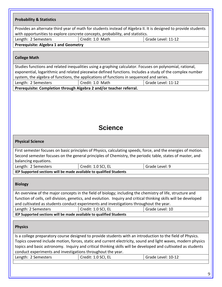| <b>Probability &amp; Statistics</b>                                 |                                                                                                                                                                                                                                                                                                                                             |                    |
|---------------------------------------------------------------------|---------------------------------------------------------------------------------------------------------------------------------------------------------------------------------------------------------------------------------------------------------------------------------------------------------------------------------------------|--------------------|
|                                                                     | Provides an alternate third year of math for students instead of Algebra II. It is designed to provide students                                                                                                                                                                                                                             |                    |
|                                                                     | with opportunities to explore concrete concepts, probability, and statistics.                                                                                                                                                                                                                                                               |                    |
| Length: 2 Semesters                                                 | Credit: 1.0 Math                                                                                                                                                                                                                                                                                                                            | Grade Level: 11-12 |
| <b>Prerequisite: Algebra 1 and Geometry</b>                         |                                                                                                                                                                                                                                                                                                                                             |                    |
| <b>College Math</b>                                                 |                                                                                                                                                                                                                                                                                                                                             |                    |
|                                                                     | Studies functions and related inequalities using a graphing calculator. Focuses on polynomial, rational,                                                                                                                                                                                                                                    |                    |
|                                                                     | exponential, logarithmic and related piecewise defined functions. Includes a study of the complex number                                                                                                                                                                                                                                    |                    |
|                                                                     | system, the algebra of functions, the applications of functions in sequenced and series.                                                                                                                                                                                                                                                    |                    |
| Length: 2 Semesters                                                 | Credit: 1.0 Math                                                                                                                                                                                                                                                                                                                            | Grade Level: 11-12 |
| Prerequisite: Completion through Algebra 2 and/or teacher referral. |                                                                                                                                                                                                                                                                                                                                             |                    |
|                                                                     | <b>Science</b>                                                                                                                                                                                                                                                                                                                              |                    |
| <b>Physical Science</b>                                             |                                                                                                                                                                                                                                                                                                                                             |                    |
| balancing equations.                                                | First semester focuses on basic principles of Physics, calculating speeds, force, and the energies of motion.<br>Second semester focuses on the general principles of Chemistry, the periodic table, states of master, and                                                                                                                  |                    |
| Length: 2 Semesters                                                 | Credit: 1.0 SCI, EL                                                                                                                                                                                                                                                                                                                         | Grade Level: 9     |
| IEP Supported sections will be made available to qualified Students |                                                                                                                                                                                                                                                                                                                                             |                    |
| <b>Biology</b>                                                      | An overview of the major concepts in the field of biology; including the chemistry of life, structure and                                                                                                                                                                                                                                   |                    |
|                                                                     | function of cells, cell division, genetics, and evolution. Inquiry and critical thinking skills will be developed                                                                                                                                                                                                                           |                    |
|                                                                     | and cultivated as students conduct experiments and investigations throughout the year.                                                                                                                                                                                                                                                      |                    |
| Length: 2 Semesters                                                 | Credit: 1.0 SCI, EL                                                                                                                                                                                                                                                                                                                         | Grade Level: 10    |
| IEP Supported sections will be made available to qualified Students |                                                                                                                                                                                                                                                                                                                                             |                    |
| <b>Physics</b>                                                      |                                                                                                                                                                                                                                                                                                                                             |                    |
| conduct experiments and investigations throughout the year.         | Is a college preparatory course designed to provide students with an introduction to the field of Physics.<br>Topics covered include motion, forces, static and current electricity, sound and light waves, modern physics<br>topics and basic astronomy. Inquiry and critical thinking skills will be developed and cultivated as students |                    |
| Length: 2 Semesters                                                 | Credit: 1.0 SCI, EL                                                                                                                                                                                                                                                                                                                         | Grade Level: 10-12 |
|                                                                     |                                                                                                                                                                                                                                                                                                                                             |                    |
|                                                                     |                                                                                                                                                                                                                                                                                                                                             | 9                  |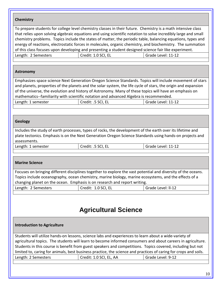#### **Chemistry**

To prepare students for college level chemistry classes in their future. Chemistry is a math intensive class that relies upon solving algebraic equations and using scientific notation to solve incredibly large and small chemistry problems. Topics include the states of matter, the periodic table, balancing equations, types and energy of reactions, electrostatic forces in molecules, organic chemistry, and biochemistry. The summation of this class focuses upon developing and presenting a student designed science fair like experiment. Length: 2 Semesters | Credit: 1.0 SCI, EL Grade Level: 11-12

#### **Astronomy**

Emphasizes space science Next Generation Oregon Science Standards. Topics will include movement of stars and planets, properties of the planets and the solar system, the life cycle of stars, the origin and expansion of the universe, the evolution and history of Astronomy. Many of these topics will have an emphasis on mathematics--familiarity with scientific notation and advanced Algebra is recommended. Length: 1 semester Credit: .5 SCI, EL Grade Level: 11-12

#### **Geology**

Includes the study of earth processes, types of rocks, the development of the earth over its lifetime and plate tectonics. Emphasis is on the Next Generation Oregon Science Standards using hands-on projects and assessments.

| Length: 1 semester | Credit: .5 SCI, EL | Grade Level: 11-12 |
|--------------------|--------------------|--------------------|
|                    |                    |                    |

#### **Marine Science**

Focuses on bringing different disciplines together to explore the vast potential and diversity of the oceans. Topics include oceanography, ocean chemistry, marine biology, marine ecosystems, and the effects of a changing planet on the ocean. Emphasis is on research and report writing.

| Length: 2 Semesters | Credit: 1.0 SCI, EL | Grade Level: Il-12 |
|---------------------|---------------------|--------------------|
|                     |                     |                    |

# **Agricultural Science**

#### **Introduction to Agriculture**

Students will utilize hands-on lessons, science labs and experiences to learn about a wide-variety of agricultural topics. The students will learn to become informed consumers and about careers in agriculture. Students in this course is benefit from guest speakers and competitions. Topics covered, including but not limited to, caring for animals, best business practice, the science and practices of caring for crops and soils. Length: 2 Semesters **Credit: 1.0 SCI, EL, AA** Grade Level: 9-12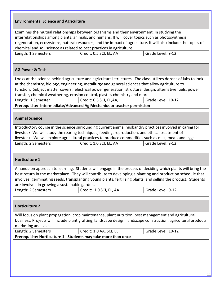#### **Environmental Science and Agriculture**

Examines the mutual relationships between organisms and their environment. In studying the interrelationships among plants, animals, and humans. It will cover topics such as photosynthesis, regeneration, ecosystems, natural resources, and the impact of agriculture. It will also include the topics of chemical and soil science as related to best practices in agriculture.

| Grade Level: 9-12<br>Credit: 0.5 SCI, EL, AA<br>Length: 1 Semesters |
|---------------------------------------------------------------------|
|---------------------------------------------------------------------|

#### **AG Power & Tech**

Looks at the science behind agriculture and agricultural structures. The class utilizes dozens of labs to look at the chemistry, biology, engineering, metallurgy and general sciences that allow agriculture to function. Subject matter covers: electrical power generation, structural design, alternative fuels, power transfer, chemical weathering, erosion control, plastics chemistry and more.

Length: 1 Semester | Credit: 0.5 SCI, EL,AA, Grade Level: 10-12

**Prerequisite: Intermediate/Advanced Ag Mechanics or teacher permission**

#### **Animal Science**

Introductory course in the science surrounding current animal husbandry practices involved in caring for livestock. We will study the rearing techniques, feeding, reproduction, and ethical treatment of livestock. We will explore agricultural practices to produce commodities such as milk, meat, and eggs. Length: 2 Semesters | Credit: 1.0 SCI, EL, AA | Grade Level: 9-12

#### **Horticulture 1**

A hands-on approach to learning. Students will engage in the process of deciding which plants will bring the best return in the marketplace. They will contribute to developing a planting and production schedule that involves: germinating seeds, transplanting young plants, fertilizing plants, and selling the product. Students are involved in growing a sustainable garden.

| Length: 2 Semesters | Credit: 1.0 SCI, EL, AA | Grade Level: 9-12 |
|---------------------|-------------------------|-------------------|
|                     |                         |                   |

#### **Horticulture 2**

Will focus on plant propagation, crop maintenance, plant nutrition, pest management and agricultural business. Projects will include plant grafting, landscape design, landscape construction, agricultural products marketing and sales.

| Length: 2 Semesters | Credit: 1.0 AA, SCI, EL | Grade Level: 10-12 |
|---------------------|-------------------------|--------------------|
|                     |                         |                    |

**Prerequisite: Horticulture 1. Students may take more than once**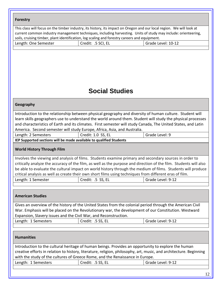| <b>Forestry</b>                   |                                                                                               |                                                                                                                                                                                                                                         |
|-----------------------------------|-----------------------------------------------------------------------------------------------|-----------------------------------------------------------------------------------------------------------------------------------------------------------------------------------------------------------------------------------------|
|                                   | soils, cruising timber, plant identification, log scaling and forestry careers and equipment. | This class will focus on the timber industry, its history, its impact on Oregon and our local region. We will look at<br>current common industry management techniques, including harvesting. Units of study may include: orienteering, |
| Length: One Semester              | Credit: .5 SCI, EL                                                                            | Grade Level: 10-12                                                                                                                                                                                                                      |
|                                   |                                                                                               |                                                                                                                                                                                                                                         |
|                                   |                                                                                               |                                                                                                                                                                                                                                         |
|                                   |                                                                                               |                                                                                                                                                                                                                                         |
|                                   |                                                                                               |                                                                                                                                                                                                                                         |
|                                   |                                                                                               |                                                                                                                                                                                                                                         |
|                                   |                                                                                               |                                                                                                                                                                                                                                         |
|                                   | <b>Social Studies</b>                                                                         |                                                                                                                                                                                                                                         |
| Geography                         |                                                                                               |                                                                                                                                                                                                                                         |
|                                   |                                                                                               | Introduction to the relationship between physical geography and diversity of human culture. Student will                                                                                                                                |
|                                   |                                                                                               | learn skills geographers use to understand the world around them. Student will study the physical processes                                                                                                                             |
|                                   |                                                                                               | and characteristics of Earth and its climates. First semester will study Canada, The United States, and Latin                                                                                                                           |
|                                   | America. Second semester will study Europe, Africa, Asia, and Australia.                      |                                                                                                                                                                                                                                         |
| Length: 2 Semesters               | Credit: 1.0 SS, EL                                                                            | Grade Level: 9                                                                                                                                                                                                                          |
|                                   | IEP Supported sections will be made available to qualified Students                           |                                                                                                                                                                                                                                         |
| <b>World History Through Film</b> |                                                                                               |                                                                                                                                                                                                                                         |
|                                   |                                                                                               | Involves the viewing and analysis of films. Students examine primary and secondary sources in order to                                                                                                                                  |
|                                   |                                                                                               | critically analyze the accuracy of the film, as well as the purpose and direction of the film. Students will also                                                                                                                       |
|                                   |                                                                                               | be able to evaluate the cultural impact on world history through the medium of films. Students will produce                                                                                                                             |
|                                   |                                                                                               | critical analysis as well as create their own short films using techniques from different eras of film.                                                                                                                                 |
| Length: 1 Semester                | Credit: .5 SS, EL                                                                             | Grade Level: 9-12                                                                                                                                                                                                                       |
|                                   |                                                                                               |                                                                                                                                                                                                                                         |
| <b>American Studies</b>           |                                                                                               |                                                                                                                                                                                                                                         |
|                                   |                                                                                               | Gives an overview of the history of the United States from the colonial period through the American Civil                                                                                                                               |
|                                   |                                                                                               | War. Emphasis will be placed on the Revolutionary war, the development of our Constitution. Westward                                                                                                                                    |
|                                   | Expansion, Slavery issues and the Civil War, and Reconstruction.                              |                                                                                                                                                                                                                                         |
| Length: 1 Semesters               | Credit: .5 SS, EL                                                                             | Grade Level: 9-12                                                                                                                                                                                                                       |
|                                   |                                                                                               |                                                                                                                                                                                                                                         |
| <b>Humanities</b>                 |                                                                                               |                                                                                                                                                                                                                                         |
|                                   |                                                                                               | Introduction to the cultural heritage of human beings. Provides an opportunity to explore the human                                                                                                                                     |
|                                   |                                                                                               | creative efforts in relation to history, literature, religion, philosophy, art, music, and architecture. Beginning                                                                                                                      |
|                                   | with the study of the cultures of Greece Rome, and the Renaissance in Europe.                 |                                                                                                                                                                                                                                         |
| Length: 1 Semesters               | Credit: .5 SS, EL                                                                             | Grade Level: 9-12                                                                                                                                                                                                                       |
|                                   |                                                                                               |                                                                                                                                                                                                                                         |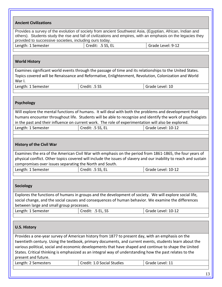| <b>Ancient Civilizations</b>                            |                                                                                                                                                                                                                            |                    |
|---------------------------------------------------------|----------------------------------------------------------------------------------------------------------------------------------------------------------------------------------------------------------------------------|--------------------|
| provided to successive societies, including ours today. | Provides a survey of the evolution of society from ancient Southwest Asia, (Egyptian, African, Indian and<br>others). Students study the rise and fall of civilizations and empires, with an emphasis on the legacies they |                    |
| Length: 1 Semester                                      | Credit: .5 SS, EL                                                                                                                                                                                                          | Grade Level: 9-12  |
|                                                         |                                                                                                                                                                                                                            |                    |
| <b>World History</b>                                    |                                                                                                                                                                                                                            |                    |
|                                                         | Examines significant world events through the passage of time and its relationships to the United States.                                                                                                                  |                    |
| War I.                                                  | Topics covered will be Renaissance and Reformative, Enlightenment, Revolution, Colonization and World                                                                                                                      |                    |
| Length: 1 Semester                                      | Credit: .5 SS                                                                                                                                                                                                              | Grade Level: 10    |
|                                                         |                                                                                                                                                                                                                            |                    |
| <b>Psychology</b>                                       |                                                                                                                                                                                                                            |                    |
|                                                         | Will explore the mental functions of humans. It will deal with both the problems and development that                                                                                                                      |                    |
|                                                         | humans encounter throughout life. Students will be able to recognize and identify the work of psychologists                                                                                                                |                    |
|                                                         | in the past and their influence on current work. The role of experimentation will also be explored.                                                                                                                        |                    |
| Length: 1 Semester                                      | Credit: .5 SS, EL                                                                                                                                                                                                          | Grade Level: 10-12 |
|                                                         |                                                                                                                                                                                                                            |                    |
| <b>History of the Civil War</b>                         |                                                                                                                                                                                                                            |                    |
|                                                         | Examines the era of the American Civil War with emphasis on the period from 1861-1865, the four years of                                                                                                                   |                    |
|                                                         | physical conflict. Other topics covered will include the issues of slavery and our inability to reach and sustain                                                                                                          |                    |
| compromises over issues separating the North and South. |                                                                                                                                                                                                                            |                    |
| Length: 1 Semester                                      | Credit: .5 SS, EL                                                                                                                                                                                                          | Grade Level: 10-12 |
|                                                         |                                                                                                                                                                                                                            |                    |
| <b>Sociology</b>                                        |                                                                                                                                                                                                                            |                    |
|                                                         | Explores the functions of humans in groups and the development of society. We will explore social life,<br>social change, and the social causes and consequences of human behavior. We examine the differences             |                    |
| between large and small group processes.                |                                                                                                                                                                                                                            |                    |
| Length: 1 Semester                                      |                                                                                                                                                                                                                            |                    |
|                                                         | Credit: .5 EL, SS                                                                                                                                                                                                          | Grade Level: 10-12 |
|                                                         |                                                                                                                                                                                                                            |                    |
| <b>U.S. History</b>                                     |                                                                                                                                                                                                                            |                    |
|                                                         | Provides a one-year survey of American history from 1877 to present day, with an emphasis on the                                                                                                                           |                    |
|                                                         | twentieth century. Using the textbook, primary documents, and current events, students learn about the                                                                                                                     |                    |
|                                                         | various political, social and economic developments that have shaped and continue to shape the United                                                                                                                      |                    |
|                                                         | States. Critical thinking is emphasized as an integral way of understanding how the past relates to the                                                                                                                    |                    |
| present and future.                                     |                                                                                                                                                                                                                            |                    |
| Length: 2 Semesters                                     | Credit: 1.0 Social Studies                                                                                                                                                                                                 | Grade Level: 11    |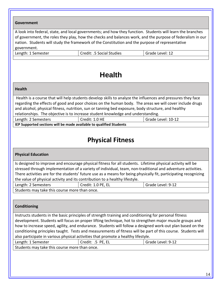#### **Government**

A look into federal, state, and local governments; and how they function. Students will learn the branches of government, the roles they play, how the checks and balances work, and the purpose of federalism in our nation. Students will study the framework of the Constitution and the purpose of representative government.

|  | Length: 1 Semester |
|--|--------------------|
|--|--------------------|

Credit: .5 Social Studies Grade Level: 12

# **Health**

#### **Health**

Health is a course that will help students develop skills to analyze the influences and pressures they face regarding the effects of good and poor choices on the human body. The areas we will cover include drugs and alcohol, physical fitness, nutrition, sun or tanning bed exposure, body structure, and healthy relationships. The objective is to increase student knowledge and understanding.

Length: 2 Semesters The Credit: 1.0 HE Grade Level: 10-12

**IEP Supported sections will be made available to qualified Students**

## **Physical Fitness**

#### **Physical Education**

Is designed to improve and encourage physical fitness for all students. Lifetime physical activity will be stressed through implementation of a variety of individual, team, non-traditional and adventure activities. There activities are for the students' future use as a means for being physically fit, participating recognizing the value of physical activity and its contribution to a healthy lifestyle.

| ! Semesters<br>Length: 2 | Credit: 1 0 PF FI.<br>-- | Grade Level: 9-12 |
|--------------------------|--------------------------|-------------------|
| .                        |                          |                   |

Students may take this course more than once.

#### **Conditioning**

Instructs students in the basic principles of strength training and conditioning for personal fitness development. Students will focus on proper lifting technique, hot to strengthen major muscle groups and how to increase speed, agility, and endurance. Students will follow a designed work-out plan based on the conditioning principles taught. Tests and measurements of fitness will be part of this course. Students will also participate in various physical activities that promote a healthy lifestyle.

| Length: 1 Semester                                                                                             | Credit: .5 PE, EL | Grade Level: 9-12 |
|----------------------------------------------------------------------------------------------------------------|-------------------|-------------------|
| The continuous contract of the state of the contract of the contract of the state of the state of the state of |                   |                   |

Students may take this course more than once.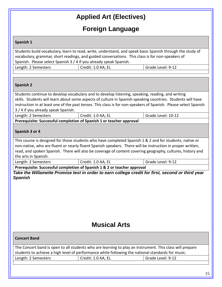# **Applied Art (Electives)**

# **Foreign Language**

#### **Spanish 1**

Students build vocabulary, learn to read, write, understand, and speak basic Spanish through the study of vocabulary, grammar, short readings, and guided conversations. This class is for non-speakers of Spanish. Please select Spanish 3 / 4 if you already speak Spanish. Length: 2 Semesters | Credit: 1.0 AA, EL Grade Level: 9-12

#### **Spanish 2**

Students continue to develop vocabulary and to develop listening, speaking, reading, and writing skills. Students will learn about some aspects of culture in Spanish-speaking countries. Students will have instruction in at least one of the past tenses. This class is for non-speakers of Spanish. Please select Spanish 3 / 4 if you already speak Spanish.

| Length: 2 Semesters                                                  | Credit: 1.0 AA, EL | Grade Level: 10-12 |
|----------------------------------------------------------------------|--------------------|--------------------|
| Prerequisite: Successful completion of Spanish 1 or teacher approval |                    |                    |

#### **Spanish 3 or 4**

This course is designed for those students who have completed Spanish 1 & 2 and for students, native or non-native, who are fluent or nearly fluent Spanish speakers. There will be instruction in proper written, read, and spoken Spanish. There will also be coverage of content covering geography, cultures, history and the arts in Spanish.

Length: 2 Semesters Credit: 1.0 AA, EL Grade Level: 9-12

**Prerequisite: Successful completion of Spanish 1 & 2 or teacher approval** *Take the Willamette Promise test in order to earn college credit for first, second or third year Spanish*

## **Musical Arts**

| <b>Concert Band</b>                                                                                                                                                                                           |  |  |  |  |  |  |  |  |
|---------------------------------------------------------------------------------------------------------------------------------------------------------------------------------------------------------------|--|--|--|--|--|--|--|--|
| The Concert band is open to all students who are learning to play an instrument. This class will prepare<br>students to achieve a high level of performance while following the national standards for music. |  |  |  |  |  |  |  |  |
| Length: 2 Semesters<br>Credit: 1.0 AA, EL<br>Grade Level: 9-12                                                                                                                                                |  |  |  |  |  |  |  |  |
|                                                                                                                                                                                                               |  |  |  |  |  |  |  |  |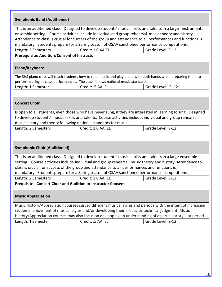| <b>Symphonic Band (Auditioned)</b>                  |                                                                                               |                                                                                                                                                                                                                                                                                                                                                                                                                                       |
|-----------------------------------------------------|-----------------------------------------------------------------------------------------------|---------------------------------------------------------------------------------------------------------------------------------------------------------------------------------------------------------------------------------------------------------------------------------------------------------------------------------------------------------------------------------------------------------------------------------------|
|                                                     |                                                                                               | This is an auditioned class. Designed to develop students' musical skills and talents in a large instrumental<br>ensemble setting. Course activities include individual and group rehearsal, music theory and history.<br>Attendance to class is crucial for success of the group and attendance to all performances and functions is<br>mandatory. Students prepare for a Spring season of OSAA sanctioned performance competitions. |
| Length: 2 Semesters                                 | Credit: 1.0 AA,EL                                                                             | Grade Level: 9-12                                                                                                                                                                                                                                                                                                                                                                                                                     |
| <b>Prerequisite: Audition/Consent of Instructor</b> |                                                                                               |                                                                                                                                                                                                                                                                                                                                                                                                                                       |
| Piano/Keyboard                                      |                                                                                               |                                                                                                                                                                                                                                                                                                                                                                                                                                       |
|                                                     | perform during in-class performances. The class follows national music standards.             | The SHS piano class will teach students how to read music and play piano with both hands while preparing them to                                                                                                                                                                                                                                                                                                                      |
| Length: 1 Semester                                  | Credit: .5 AA, EL                                                                             | Grade Level: 9-12                                                                                                                                                                                                                                                                                                                                                                                                                     |
|                                                     |                                                                                               |                                                                                                                                                                                                                                                                                                                                                                                                                                       |
| <b>Concert Choir</b>                                |                                                                                               |                                                                                                                                                                                                                                                                                                                                                                                                                                       |
|                                                     | music history and theory following national standards for music.                              | Is open to all students, even those who have never sung, if they are interested in learning to sing. Designed<br>to develop students' musical skills and talents. Course activities include: individual and group rehearsal,                                                                                                                                                                                                          |
| Length: 2 Semesters                                 | Credit: 1.0 AA, EL                                                                            | Grade Level: 9-12                                                                                                                                                                                                                                                                                                                                                                                                                     |
| <b>Symphonic Choir (Auditioned)</b>                 |                                                                                               |                                                                                                                                                                                                                                                                                                                                                                                                                                       |
|                                                     | class is crucial for success of the group and attendance to all performances and functions is | This is an auditioned class. Designed to develop students' musical skills and talents in a large ensemble<br>setting. Course activities include individual and group rehearsal, music theory and history. Attendance to                                                                                                                                                                                                               |
|                                                     |                                                                                               | mandatory. Students prepare for a Spring season of OSAA sanctioned performance competitions.                                                                                                                                                                                                                                                                                                                                          |
| Length: 2 Semesters                                 | Credit: 1.0 AA, EL<br>Prequisite: Concert Choir and Audition or Instructor Consent            | Grade Level: 9-12                                                                                                                                                                                                                                                                                                                                                                                                                     |
|                                                     |                                                                                               |                                                                                                                                                                                                                                                                                                                                                                                                                                       |
| <b>Music Appreciation</b>                           |                                                                                               |                                                                                                                                                                                                                                                                                                                                                                                                                                       |
|                                                     |                                                                                               | Music History/Appreciation courses survey different musical styles and periods with the intent of increasing<br>students' enjoyment of musical styles and/or developing their artistic or technical judgment. Music<br>History/Appreciation courses may also focus on developing an understanding of a particular style or period.                                                                                                    |
| Length: 1 Semester                                  | Credit: .5 AA, EL                                                                             | Grade Level: 9-12                                                                                                                                                                                                                                                                                                                                                                                                                     |
|                                                     |                                                                                               |                                                                                                                                                                                                                                                                                                                                                                                                                                       |
|                                                     |                                                                                               |                                                                                                                                                                                                                                                                                                                                                                                                                                       |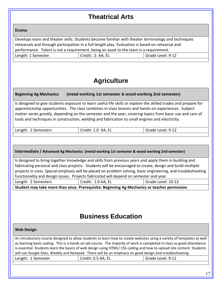# **Theatrical Arts**

#### **Drama**

Develops team and theater skills. Students become familiar with theater terminology and techniques rehearsals and through participation in a full-length play. Evaluation is based on rehearsal and performance. Talent is not a requirement, being an asset to the team is a requirement. Length: 1 Semester The Credit: .5 AA, EL Grade Level: 9-12

# **Agriculture**

#### **Beginning Ag Mechanics (metal working 1st semester & wood working 2nd semester)**

Is designed to give students exposure to learn useful life skills or explore the skilled trades and prepare for apprenticeship opportunities. The class combines in-class lessons and hands-on experiences. Subject matter varies greatly, depending on the semester and the year, covering topics from basic use and care of tools and techniques in construction, welding and fabrication to small engines and electricity.

|  | Length: 2 Semesters | Credit: 1.0 AA, EL | Grade Level: 9-12 |
|--|---------------------|--------------------|-------------------|
|--|---------------------|--------------------|-------------------|

#### **Intermediate / Advanced Ag Mechanics (metal working 1st semester & wood working 2nd semester)**

Is designed to bring together knowledge and skills from previous years and apply them in building and fabricating personal and class projects. Students will be encouraged to create, design and build multiple projects in class. Special emphasis will be placed on problem solving, basic engineering, and troubleshooting functionality and design issues. Projects fabricated will depend on semester and year.

| Length: 2 Semesters | Credit: 1.0 AA, EL                                                                          | Grade Level: 10-12 |
|---------------------|---------------------------------------------------------------------------------------------|--------------------|
|                     | Student may take more than once. Prerequisite: Beginning Ag Mechanics or teacher permission |                    |

## **Business Education**

#### **Web Design**

An introductory course designed to allow students to learn how to create websites using a variety of templates as well as learning basic coding. This is a hands on lab course. The majority of work is completed in class so good attendance is essential. Students learn the basics of web design using HTML/ CSS coding and how to upload site content. Students will use Google Sites, Weebly and Notepad. There will be an emphasis on good design and troubleshooting. Length: 1 Semester The Credit: 0.5 AA, EL Grade Level: 9-12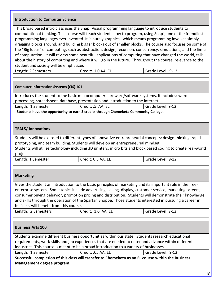#### **Introduction to Computer Science**

This broad based intro class uses the Snap! Visual programming language to introduce students to computational thinking. This course will teach students how to program, using Snap!, one of the friendliest programming languages ever invented. It is purely graphical, which means programming involves simply dragging blocks around, and building bigger blocks out of smaller blocks. The course also focuses on some of the "Big Ideas" of computing, such as abstraction, design, recursion, concurrency, simulations, and the limits of computation. It will review some beautiful applications of computing that have changed the world, talk about the history of computing and where it will go in the future. Throughout the course, relevance to the student and society will be emphasized.

Length: 2 Semesters | Credit: 1.0 AA, EL | Grade Level: 9-12

#### **Computer Information Systems (CIS) 101**

Introduces the student to the basic microcomputer hardware/software systems. It includes: wordprocessing, spreadsheet, database, presentation and introduction to the internet

| Length: 1 Semester | Credit: .5 AA, EL |
|--------------------|-------------------|
|                    |                   |

**Students have the opportunity to earn 3 credits through Chemeketa Community College.**

#### **TEALS/ Innovations**

Students will be exposed to different types of innovative entrepreneurial concepts: design thinking, rapid prototyping, and team building. Students will develop an entrepreneurial mindset.

Students will utilize technology including 3D printers, micro bits and block based coding to create real-world projects.

Length: 1 Semester | Credit: 0.5 AA, EL Grade Level: 9-12

Grade Level: 9-12

#### **Marketing**

Gives the student an introduction to the basic principles of marketing and its important role in the freeenterprise system. Some topics include advertising, selling, display, customer service, marketing careers, consumer buying behavior, promotion pricing and distribution. Students will demonstrate their knowledge and skills through the operation of the Spartan Shoppe. Those students interested in pursuing a career in business will benefit from this course.

| Length: 2 Semesters | <sup>I</sup> Credit: 1.0 AA, EL | Grade Level: 9-12 |
|---------------------|---------------------------------|-------------------|
|                     |                                 |                   |

#### **Business Arts 100**

Students examine different business opportunities within our state. Students research educational requirements, work-skills and job experiences that are needed to enter and advance within different industries. This course is meant to be a broad introduction to a variety of businesses

Length: 1 Semester The Credit: .05 AA, EL Credit: .05 AA, EL Grade Level: 9-12

**Successful completion of this class will transfer to Chemeketa as an EL course within the Business Management degree program.**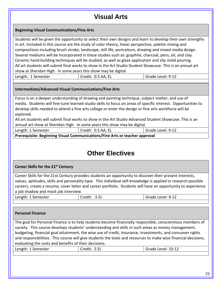# **Visual Arts**

#### **Beginning Visual Communications/Fine Arts**

Students will be given the opportunity to select their own designs and learn to develop their own strengths in art. Included in this course are the study of color theory, linear perspective, palette mixing and compositions including brush stroke, landscape, still life, portraiture, drawing and mixed media design. Several mediums will be incorporated in these studies such as: graphite, charcoal, pens, oil, and clay. Ceramic hand building techniques will be studied, as well as glaze application and slip mold pouring. All art students will submit final works to show in the Art Studio Student Showcase. This is an annual art show at Sheridan High. In some years this show may be digital.

Length: 1 Semester | Credit: 0.5 AA, EL | Grade Level: 9-12

#### **Intermediate/Advanced Visual Communications/Fine Arts**

Focus is on a deeper understanding of drawing and painting technique, subject matter, and use of media. Students will fine-tune learned studio skills to focus on areas of specific interest. Opportunities to develop skills needed to attend a fine arts college or enter the design or fine arts workforce will be explored.

All art students will submit final works to show in the Art Studio Advanced Student Showcase. This is an annual art show at Sheridan High. In some years this show may be digital.

| Length: 1 Semester |   |  |  |  |   | Credit: 0.5 AA, EL |  |  | Grade Level: 9-12 |  |
|--------------------|---|--|--|--|---|--------------------|--|--|-------------------|--|
|                    | . |  |  |  | . |                    |  |  |                   |  |

**Prerequisite: Beginning Visual Communications/Fine Arts or teacher approval**

## **Other Electives**

|  |  |  |  |  | Career Skills for the 21 <sup>st</sup> Century |
|--|--|--|--|--|------------------------------------------------|
|--|--|--|--|--|------------------------------------------------|

Career Skills for the 21st Century provides students an opportunity to discover their present interests, values, aptitudes, skills and personality type. This individual self-knowledge is applied to research possible careers, create a resume, cover letter and career portfolio. Students will have an opportunity to experience a job shadow and mock job interview.

| Semester<br>Length <sup>.</sup> | - - | Level: 9-12 |
|---------------------------------|-----|-------------|
|                                 |     |             |

#### **Personal Finance**

The goal for Personal Finance is to help students become financially responsible, conscientious members of society. This course develops students' understanding and skills in such areas as money management, budgeting, financial goal attainment, the wise use of credit, insurance, investments, and consumer rights and responsibilities. This course will give students the tools and resources to make wise financial decisions, evaluating the costs and benefits of their decisions.

| Length: 1 Semester | Credit: .5 EL | Grade Level: 10-12 |
|--------------------|---------------|--------------------|
|                    |               |                    |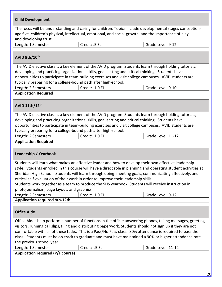| <b>Child Development</b>                                                                                                                                                                                          |                                                                                                         |                                                                                                                 |  |  |
|-------------------------------------------------------------------------------------------------------------------------------------------------------------------------------------------------------------------|---------------------------------------------------------------------------------------------------------|-----------------------------------------------------------------------------------------------------------------|--|--|
|                                                                                                                                                                                                                   |                                                                                                         |                                                                                                                 |  |  |
| The focus will be understanding and caring for children. Topics include developmental stages conception-<br>age five, children's physical, intellectual, emotional, and social-growth, and the importance of play |                                                                                                         |                                                                                                                 |  |  |
| and developing trust.                                                                                                                                                                                             |                                                                                                         |                                                                                                                 |  |  |
| Length: 1 Semester                                                                                                                                                                                                | Credit: .5 EL                                                                                           | Grade Level: 9-12                                                                                               |  |  |
|                                                                                                                                                                                                                   |                                                                                                         |                                                                                                                 |  |  |
| AVID 9th/10th                                                                                                                                                                                                     |                                                                                                         |                                                                                                                 |  |  |
|                                                                                                                                                                                                                   | The AVID elective class is a key element of the AVID program. Students learn through holding tutorials, |                                                                                                                 |  |  |
|                                                                                                                                                                                                                   | developing and practicing organizational skills, goal-setting and critical thinking. Students have      |                                                                                                                 |  |  |
|                                                                                                                                                                                                                   | opportunities to participate in team-building exercises and visit college campuses. AVID students are   |                                                                                                                 |  |  |
| typically preparing for a college-bound path after high-school.                                                                                                                                                   |                                                                                                         |                                                                                                                 |  |  |
| Length: 2 Semesters                                                                                                                                                                                               | Credit: 1.0 EL                                                                                          | Grade Level: 9-10                                                                                               |  |  |
| <b>Application Required</b>                                                                                                                                                                                       |                                                                                                         |                                                                                                                 |  |  |
| AVID 11th/12th                                                                                                                                                                                                    |                                                                                                         |                                                                                                                 |  |  |
|                                                                                                                                                                                                                   | The AVID elective class is a key element of the AVID program. Students learn through holding tutorials, |                                                                                                                 |  |  |
|                                                                                                                                                                                                                   | developing and practicing organizational skills, goal-setting and critical thinking. Students have      |                                                                                                                 |  |  |
|                                                                                                                                                                                                                   | opportunities to participate in team-building exercises and visit college campuses. AVID students are   |                                                                                                                 |  |  |
| typically preparing for a college-bound path after high-school.                                                                                                                                                   |                                                                                                         |                                                                                                                 |  |  |
| Length: 2 Semesters                                                                                                                                                                                               | Credit: 1.0 EL                                                                                          | Grade Level: 11-12                                                                                              |  |  |
| <b>Application Required</b>                                                                                                                                                                                       |                                                                                                         |                                                                                                                 |  |  |
|                                                                                                                                                                                                                   |                                                                                                         |                                                                                                                 |  |  |
| Leadership / Yearbook                                                                                                                                                                                             |                                                                                                         |                                                                                                                 |  |  |
|                                                                                                                                                                                                                   | Students will learn what makes an effective leader and how to develop their own effective leadership    |                                                                                                                 |  |  |
|                                                                                                                                                                                                                   |                                                                                                         | style. Students enrolled in this course will have a direct role in planning and operating student activities at |  |  |
|                                                                                                                                                                                                                   | Sheridan High School. Students will learn through doing: meeting goals, communicating effectively, and  |                                                                                                                 |  |  |
|                                                                                                                                                                                                                   | critical self-evaluation of their work in order to improve their leadership skills.                     |                                                                                                                 |  |  |
|                                                                                                                                                                                                                   | Students work together as a team to produce the SHS yearbook. Students will receive instruction in      |                                                                                                                 |  |  |
| photojournalism, page layout, and graphics.                                                                                                                                                                       |                                                                                                         |                                                                                                                 |  |  |
| Length: 2 Semesters<br><b>Application required 9th-12th</b>                                                                                                                                                       | Credit: 1.0 EL                                                                                          | Grade Level: 9-12                                                                                               |  |  |
|                                                                                                                                                                                                                   |                                                                                                         |                                                                                                                 |  |  |
| <b>Office Aide</b>                                                                                                                                                                                                |                                                                                                         |                                                                                                                 |  |  |
|                                                                                                                                                                                                                   |                                                                                                         | Office Aides help perform a number of functions in the office: answering phones, taking messages, greeting      |  |  |
| visitors, running call slips, filing and distributing paperwork. Students should not sign up if they are not                                                                                                      |                                                                                                         |                                                                                                                 |  |  |
| comfortable with all of these tasks. This is a Pass/No Pass class. 80% attendance is required to pass the                                                                                                         |                                                                                                         |                                                                                                                 |  |  |
| class. Students must be on-track to graduate and must have maintained a 90% or higher attendance rate                                                                                                             |                                                                                                         |                                                                                                                 |  |  |
| the previous school year.                                                                                                                                                                                         |                                                                                                         |                                                                                                                 |  |  |
| Length: 1 Semester                                                                                                                                                                                                | Credit: .5 EL                                                                                           | Grade Level: 11-12                                                                                              |  |  |
| <b>Application required (P/F course)</b>                                                                                                                                                                          |                                                                                                         |                                                                                                                 |  |  |
|                                                                                                                                                                                                                   |                                                                                                         |                                                                                                                 |  |  |
|                                                                                                                                                                                                                   |                                                                                                         |                                                                                                                 |  |  |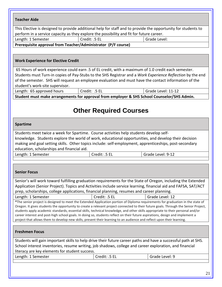| <b>Teacher Aide</b>                                                                                                                                                                                                                                                                                                                                                                                                                                                                                                                                                                                                                                                                                           |               |                                                                                                                                                                                                                                |  |  |
|---------------------------------------------------------------------------------------------------------------------------------------------------------------------------------------------------------------------------------------------------------------------------------------------------------------------------------------------------------------------------------------------------------------------------------------------------------------------------------------------------------------------------------------------------------------------------------------------------------------------------------------------------------------------------------------------------------------|---------------|--------------------------------------------------------------------------------------------------------------------------------------------------------------------------------------------------------------------------------|--|--|
| This Elective is designed to provide additional help for staff and to provide the opportunity for students to                                                                                                                                                                                                                                                                                                                                                                                                                                                                                                                                                                                                 |               |                                                                                                                                                                                                                                |  |  |
| perform in a service capacity as they explore the possibility and fit for future career.                                                                                                                                                                                                                                                                                                                                                                                                                                                                                                                                                                                                                      |               |                                                                                                                                                                                                                                |  |  |
| Length: 1 Semester                                                                                                                                                                                                                                                                                                                                                                                                                                                                                                                                                                                                                                                                                            | Credit: .5 EL | Grade Level:                                                                                                                                                                                                                   |  |  |
| Prerequisite approval from Teacher/Administrator (P/F course)                                                                                                                                                                                                                                                                                                                                                                                                                                                                                                                                                                                                                                                 |               |                                                                                                                                                                                                                                |  |  |
|                                                                                                                                                                                                                                                                                                                                                                                                                                                                                                                                                                                                                                                                                                               |               |                                                                                                                                                                                                                                |  |  |
| <b>Work Experience for Elective Credit</b>                                                                                                                                                                                                                                                                                                                                                                                                                                                                                                                                                                                                                                                                    |               |                                                                                                                                                                                                                                |  |  |
|                                                                                                                                                                                                                                                                                                                                                                                                                                                                                                                                                                                                                                                                                                               |               | 65 Hours of work experience could earn .5 of EL credit, with a maximum of 1.0 credit each semester.                                                                                                                            |  |  |
|                                                                                                                                                                                                                                                                                                                                                                                                                                                                                                                                                                                                                                                                                                               |               | Students must Turn-in copies of Pay-Stubs to the SHS Registrar and a Work Experience Reflection by the end                                                                                                                     |  |  |
| student's work-site supervisor.                                                                                                                                                                                                                                                                                                                                                                                                                                                                                                                                                                                                                                                                               |               | of the semester. SHS will request an employee evaluation and must have the contact information of the                                                                                                                          |  |  |
| Length: 65 approved hours                                                                                                                                                                                                                                                                                                                                                                                                                                                                                                                                                                                                                                                                                     | Credit: .5 EL | Grade Level: 11-12                                                                                                                                                                                                             |  |  |
|                                                                                                                                                                                                                                                                                                                                                                                                                                                                                                                                                                                                                                                                                                               |               | Student must make arrangements for approval from employer & SHS School Counselor/SHS Admin.                                                                                                                                    |  |  |
| <b>Other Required Courses</b>                                                                                                                                                                                                                                                                                                                                                                                                                                                                                                                                                                                                                                                                                 |               |                                                                                                                                                                                                                                |  |  |
| <b>Spartime</b>                                                                                                                                                                                                                                                                                                                                                                                                                                                                                                                                                                                                                                                                                               |               |                                                                                                                                                                                                                                |  |  |
| Students meet twice a week for Spartime. Course activities help students develop self-<br>knowledge. Students explore the world of work, educational opportunities, and develop their decision<br>making and goal setting skills. Other topics include: self-employment, apprenticeships, post-secondary<br>education, scholarships and financial aid.                                                                                                                                                                                                                                                                                                                                                        |               |                                                                                                                                                                                                                                |  |  |
| Length: 1 Semester                                                                                                                                                                                                                                                                                                                                                                                                                                                                                                                                                                                                                                                                                            | Credit: .5 EL | Grade Level: 9-12                                                                                                                                                                                                              |  |  |
|                                                                                                                                                                                                                                                                                                                                                                                                                                                                                                                                                                                                                                                                                                               |               |                                                                                                                                                                                                                                |  |  |
| <b>Senior Focus</b>                                                                                                                                                                                                                                                                                                                                                                                                                                                                                                                                                                                                                                                                                           |               |                                                                                                                                                                                                                                |  |  |
|                                                                                                                                                                                                                                                                                                                                                                                                                                                                                                                                                                                                                                                                                                               |               | Senior's will work toward fulfilling graduation requirements for the State of Oregon, including the Extended<br>Application (Senior Project). Topics and Activities include service learning, financial aid and FAFSA, SAT/ACT |  |  |
| prep, scholarships, college applications, financial planning, resumes and career planning.                                                                                                                                                                                                                                                                                                                                                                                                                                                                                                                                                                                                                    | Credit: .5 EL |                                                                                                                                                                                                                                |  |  |
| Grade Level: 12<br>Length: 1 Semester<br>*The senior project is designed to meet the Extended Application portion of Diploma requirements for graduation in the state of<br>Oregon. It gives students the opportunity to create a relevant project connected to their future goals. Through the Senior Project,<br>students apply academic standards, essential skills, technical knowledge, and other skills appropriate to their personal and/or<br>career interest and post-high school goals. In doing so, students reflect on their future aspirations, design and implement a<br>project that allows them to develop new skills, present their learning to an audience and reflect upon their learning. |               |                                                                                                                                                                                                                                |  |  |
| <b>Freshmen Focus</b>                                                                                                                                                                                                                                                                                                                                                                                                                                                                                                                                                                                                                                                                                         |               |                                                                                                                                                                                                                                |  |  |
|                                                                                                                                                                                                                                                                                                                                                                                                                                                                                                                                                                                                                                                                                                               |               | Students will gain important skills to help drive their future career paths and have a successful path at SHS.                                                                                                                 |  |  |
|                                                                                                                                                                                                                                                                                                                                                                                                                                                                                                                                                                                                                                                                                                               |               | School interest inventories, resume writing, job shadows, college and career exploration, and financial                                                                                                                        |  |  |
| literacy are key elements for student success.                                                                                                                                                                                                                                                                                                                                                                                                                                                                                                                                                                                                                                                                |               |                                                                                                                                                                                                                                |  |  |
| Length: 1 Semester                                                                                                                                                                                                                                                                                                                                                                                                                                                                                                                                                                                                                                                                                            | Credit: .5 EL | Grade Level: 9                                                                                                                                                                                                                 |  |  |
|                                                                                                                                                                                                                                                                                                                                                                                                                                                                                                                                                                                                                                                                                                               |               |                                                                                                                                                                                                                                |  |  |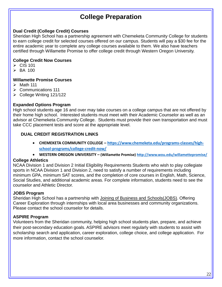# **College Preparation**

#### **Dual Credit (College Credit) Courses**

Sheridan High School has a partnership agreement with Chemeketa Community College for students to earn college credit for selected courses offered on our campus. Students will pay a \$30 fee for the entire academic year to complete any college courses available to them. We also have teachers certified through Willamette Promise to offer college credit through Western Oregon University.

#### **College Credit Now Courses**

- $\triangleright$  CIS 101
- $\triangleright$  BA 100

#### **Willamette Promise Courses**

- $\triangleright$  Math 111
- $\triangleright$  Communications 111
- $\triangleright$  College Writing 121/122

#### **Expanded Options Program**

High school students age 16 and over may take courses on a college campus that are not offered by their home high school. Interested students must meet with their Academic Counselor as well as an advisor at Chemeketa Community College. Students must provide their own transportation and must take CCC placement tests and score at the appropriate level.

#### **DUAL CREDIT REGISTRATION LINKS**

- **CHEMEKETA COMMUNITY COLLEGE – [https://www.chemeketa.edu/programs-classes/high](https://www.chemeketa.edu/programs-classes/high-school-programs/college-credit-now/)[school-programs/college-credit-now/](https://www.chemeketa.edu/programs-classes/high-school-programs/college-credit-now/)**
- **WESTERN OREGON UNIVERSITY – (Willamette Promise) <http://www.wou.edu/willamettepromise/>**

#### **College Athletics**

NCAA Division 1 and Division 2 Initial Eligibility Requirements Students who wish to play collegiate sports in NCAA Division 1 and Division 2, need to satisfy a number of requirements including minimum GPA, minimum SAT scores, and the completion of core courses in English, Math, Science, Social Studies, and additional academic areas. For complete information, students need to see the counselor and Athletic Director.

#### **JOBS Program**

Sheridan High School has a partnership with Joining of Business and Schools(JOBS). Offering Career Exploration through internships with local area businesses and community organizations. Please contact the school counselor for details.

#### **ASPIRE Program**

Volunteers from the Sheridan community, helping high school students plan, prepare, and achieve their post-secondary education goals. ASPIRE advisors meet regularly with students to assist with scholarship search and application, career exploration, college choice, and college application. For more information, contact the school counselor.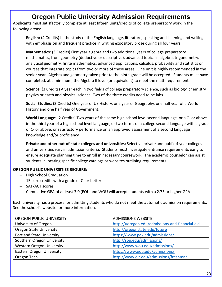# **Oregon Public University Admission Requirements**

Applicants must satisfactorily complete at least fifteen units/credits of college preparatory work in the following areas:

**English:** (4 Credits) In the study of the English language, literature, speaking and listening and writing with emphasis on and frequent practice in writing expository prose during all four years.

**Mathematics**: (3 Credits) First year algebra and two additional years of college preparatory mathematics, from geometry (deductive or descriptive), advanced topics in algebra, trigonometry, analytical geometry, finite mathematics, advanced applications, calculus, probability and statistics or courses that integrate topics from two or more of these areas. One unit is highly recommended in the senior year. Algebra and geometry taken prior to the ninth grade will be accepted. Students must have completed, at a minimum, the Algebra II level (or equivalent) to meet the math requirement.

**Science**: (3 Credits) A year each in two fields of college preparatory science, such as biology, chemistry, physics or earth and physical science. Two of the three credits need to be labs.

**Social Studies**: (3 Credits) One year of US History, one year of Geography, one half year of a World History and one half year of Government.

**World Language**: (2 Credits) Two years of the same high school level second language, or a C- or above in the third year of a high school level language, or two terms of a college second language with a grade of C- or above, or satisfactory performance on an approved assessment of a second language knowledge and/or proficiency.

**Private and other out-of-state colleges and universities:** Selective private and public 4 year colleges and universities vary in admission criteria. Students must investigate entrance requirements early to ensure adequate planning time to enroll in necessary coursework. The academic counselor can assist students in locating specific college catalogs or websites outlining requirements.

#### **OREGON PUBLIC UNIVERSITIES REQUIRE:**

- − High School Graduation
- − 15 core credits with a grade of C- or better
- − SAT/ACT scores
- − Cumulative GPA of at least 3.0 (EOU and WOU will accept students with a 2.75 or higher GPA

Each university has a process for admitting students who do not meet the automatic admission requirements. See the school's website for more information.

| OREGON PUBLIC UNIVERSITY         | <b>ADMISSIONS WEBSITE</b>                       |
|----------------------------------|-------------------------------------------------|
| University of Oregon             | http://uoregon.edu/admissions-and-financial-aid |
| <b>Oregon State University</b>   | http://oregonstate.edu/future                   |
| <b>Portland State University</b> | https://www.pdx.edu/admissions/                 |
| Southern Oregon University       | http://sou.edu/admissions/                      |
| Western Oregon University        | http://www.wou.edu/admissions/                  |
| <b>Eastern Oregon University</b> | https://www.eou.edu/admissions/                 |
| Oregon Tech                      | http://www.oit.edu/admissions/freshman          |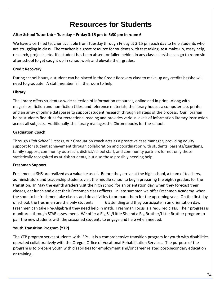# **Resources for Students**

#### **After School Tutor Lab – Tuesday – Friday 3:15 pm to 5:30 pm in room 6**

We have a certified teacher available from Tuesday through Friday at 3:15 pm each day to help students who are struggling in class. The teacher is a great resource for students with test taking, test make-up, essay help, research, projects, etc. If a student has been absent or fallen behind in any classes he/she can go to room six after school to get caught up in school work and elevate their grades.

#### **Credit Recovery**

During school hours, a student can be placed in the Credit Recovery class to make up any credits he/she will need to graduate. A staff member is in the room to help.

#### **Library**

The library offers students a wide selection of information resources, online and in print. Along with magazines, fiction and non-fiction titles, and reference materials, the library houses a computer lab, printer and an array of online databases to support student research through all steps of the process. Our librarian helps students find titles for recreational reading and provides various levels of information literacy instruction across all subjects. Additionally, the library manages the Chromebooks for the school.

#### **Graduation Coach**

Through *High School Success*, our Graduation coach acts as a proactive case manager; providing equity support for student achievement through collaboration and coordination with students, parents/guardians, family support, community outreach, district/school staff, and community partners for not only those statistically recognized as at-risk students, but also those possibly needing help.

#### **Freshman Support**

Freshmen at SHS are realized as a valuable asset. Before they arrive at the high school, a team of teachers, administrators and Leadership students visit the middle school to begin preparing the eighth graders for the transition. In May the eighth graders visit the high school for an orientation day, when they forecast their classes, eat lunch and elect their Freshmen class officers. In late summer, we offer Freshmen Academy, when the soon to be freshmen take classes and do activities to prepare them for the upcoming year. On the first day of school, the freshmen are the only students 6 attending and they participate in an orientation day. Freshmen can take Pre-Algebra if they need help in math. Freshman Focus is a required class. Their progress is monitored through STAR assessment. We offer a Big Sis/Little Sis and a Big Brother/Little Brother program to pair the new students with the seasoned students to engage and help when needed.

#### **Youth Transition Program (YTP)**

The YTP program serves students with IEPs. It is a comprehensive transition program for youth with disabilities operated collaboratively with the Oregon Office of Vocational Rehabilitation Services. The purpose of the program is to prepare youth with disabilities for employment and/or career related post-secondary education or training.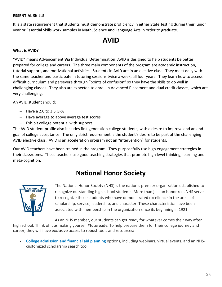#### **ESSENTIAL SKILLS**

It is a state requirement that students must demonstrate proficiency in either State Testing during their junior year or Essential Skills work samples in Math, Science and Language Arts in order to graduate.

# **AVID**

#### **What is AVID?**

"AVID" means **A**dvancement **V**ia **I**ndividual **D**etermination. AVID is designed to help students be better prepared for college and careers. The three main components of the program are academic instruction, tutorial support, and motivational activities. Students in AVID are in an elective class. They meet daily with the same teacher and participate in tutoring sessions twice a week, all four years. They learn how to access difficult curriculum and persevere through "points of confusion" so they have the skills to do well in challenging classes. They also are expected to enroll in Advanced Placement and dual credit classes, which are very challenging.

An AVID student should:

- − Have a 2.0 to 3.5 GPA
- − Have average to above average test scores
- − Exhibit college potential with support

The AVID student profile also includes first generation college students, with a desire to improve and an end goal of college acceptance. The only strict requirement is the student's desire to be part of the challenging AVID elective class. AVID is an acceleration program not an "intervention" for students.

Our AVID teachers have been trained in the program. They purposefully use high engagement strategies in their classrooms. These teachers use good teaching strategies that promote high level thinking, learning and meta-cognition.

## **National Honor Society**



The National Honor Society (NHS) is the nation's premier organization established to recognize outstanding high school students. More than just an honor roll, NHS serves to recognize those students who have demonstrated excellence in the areas of scholarship, service, leadership, and character. These characteristics have been associated with membership in the organization since its beginning in 1921.

As an NHS member, our students can get ready for whatever comes their way after high school. Think of it as making yourself #futuready. To help prepare them for their college journey and career, they will have exclusive access to robust tools and resources:

• **[College admission and financial aid planning](https://www.nhs.us/students/college-admission-planning/)** options, including webinars, virtual events, and an NHScustomized scholarship search tool